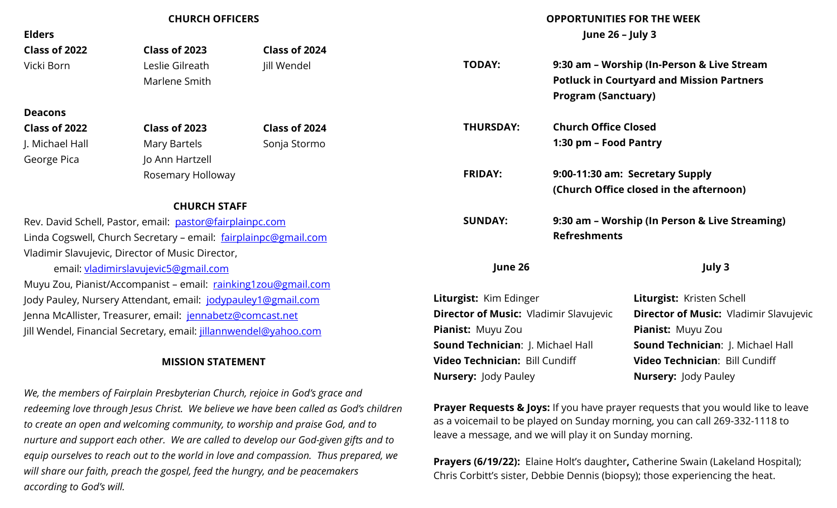| <b>CHURCH OFFICERS</b>                                                                       |                                                               |                                                                              | <b>OPPORTUNITIES FOR THE WEEK</b>                                                |                             |                                                  |  |
|----------------------------------------------------------------------------------------------|---------------------------------------------------------------|------------------------------------------------------------------------------|----------------------------------------------------------------------------------|-----------------------------|--------------------------------------------------|--|
| <b>Elders</b>                                                                                |                                                               |                                                                              |                                                                                  | June 26 - July 3            |                                                  |  |
| Class of 2022                                                                                | Class of 2023                                                 | Class of 2024                                                                |                                                                                  |                             |                                                  |  |
| Vicki Born                                                                                   | Leslie Gilreath                                               | Jill Wendel                                                                  | 9:30 am - Worship (In-Person & Live Stream<br><b>TODAY:</b>                      |                             |                                                  |  |
|                                                                                              | Marlene Smith                                                 |                                                                              |                                                                                  |                             | <b>Potluck in Courtyard and Mission Partners</b> |  |
|                                                                                              |                                                               |                                                                              |                                                                                  | <b>Program (Sanctuary)</b>  |                                                  |  |
| <b>Deacons</b>                                                                               |                                                               |                                                                              |                                                                                  |                             |                                                  |  |
| Class of 2022                                                                                | Class of 2023                                                 | Class of 2024                                                                | <b>THURSDAY:</b>                                                                 | <b>Church Office Closed</b> |                                                  |  |
| J. Michael Hall                                                                              | <b>Mary Bartels</b>                                           | Sonja Stormo                                                                 |                                                                                  | 1:30 pm - Food Pantry       |                                                  |  |
| George Pica                                                                                  | Jo Ann Hartzell                                               |                                                                              |                                                                                  |                             |                                                  |  |
|                                                                                              |                                                               | Rosemary Holloway                                                            |                                                                                  |                             | 9:00-11:30 am: Secretary Supply                  |  |
|                                                                                              |                                                               |                                                                              |                                                                                  |                             | (Church Office closed in the afternoon)          |  |
|                                                                                              | <b>CHURCH STAFF</b>                                           |                                                                              |                                                                                  |                             |                                                  |  |
| Rev. David Schell, Pastor, email: pastor@fairplainpc.com                                     |                                                               |                                                                              | <b>SUNDAY:</b><br>9:30 am - Worship (In Person & Live Streaming)                 |                             |                                                  |  |
| Linda Cogswell, Church Secretary - email: fairplainpc@gmail.com                              |                                                               |                                                                              |                                                                                  | <b>Refreshments</b>         |                                                  |  |
|                                                                                              | Vladimir Slavujevic, Director of Music Director,              |                                                                              |                                                                                  |                             |                                                  |  |
| email: vladimirslavujevic5@gmail.com                                                         |                                                               |                                                                              | June 26                                                                          |                             | July 3                                           |  |
|                                                                                              | Muyu Zou, Pianist/Accompanist - email: rainking1zou@gmail.com |                                                                              |                                                                                  |                             |                                                  |  |
| Jody Pauley, Nursery Attendant, email: jodypauley1@gmail.com                                 |                                                               |                                                                              | Liturgist: Kim Edinger                                                           |                             | Liturgist: Kristen Schell                        |  |
| Jenna McAllister, Treasurer, email: jennabetz@comcast.net                                    |                                                               |                                                                              | <b>Director of Music: Vladimir Slavujevic</b>                                    |                             | <b>Director of Music: Vladimir Slavujevic</b>    |  |
| Jill Wendel, Financial Secretary, email: jillannwendel@yahoo.com<br><b>MISSION STATEMENT</b> |                                                               |                                                                              | Pianist: Muyu Zou                                                                |                             | Pianist: Muyu Zou                                |  |
|                                                                                              |                                                               |                                                                              | Sound Technician: J. Michael Hall                                                |                             | Sound Technician: J. Michael Hall                |  |
|                                                                                              |                                                               |                                                                              | Video Technician: Bill Cundiff                                                   |                             | Video Technician: Bill Cundiff                   |  |
|                                                                                              |                                                               |                                                                              | <b>Nursery: Jody Pauley</b>                                                      |                             | <b>Nursery: Jody Pauley</b>                      |  |
|                                                                                              |                                                               | We, the members of Fairplain Presbyterian Church, rejoice in God's grace and |                                                                                  |                             |                                                  |  |
| redeeming love through Jesus Christ. We believe we have been called as God's children        |                                                               |                                                                              | Prayer Requests & Joys: If you have prayer requests that you would like to leave |                             |                                                  |  |

*to create an open and welcoming community, to worship and praise God, and to* 

*will share our faith, preach the gospel, feed the hungry, and be peacemakers* 

*according to God's will.*

*nurture and support each other. We are called to develop our God-given gifts and to equip ourselves to reach out to the world in love and compassion. Thus prepared, we*

as a voicemail to be played on Sunday morning, you can call 269-332-1118 to leave a message, and we will play it on Sunday morning.

**Prayers (6/19/22):** Elaine Holt's daughter, Catherine Swain (Lakeland Hospital); Chris Corbitt's sister, Debbie Dennis (biopsy); those experiencing the heat.